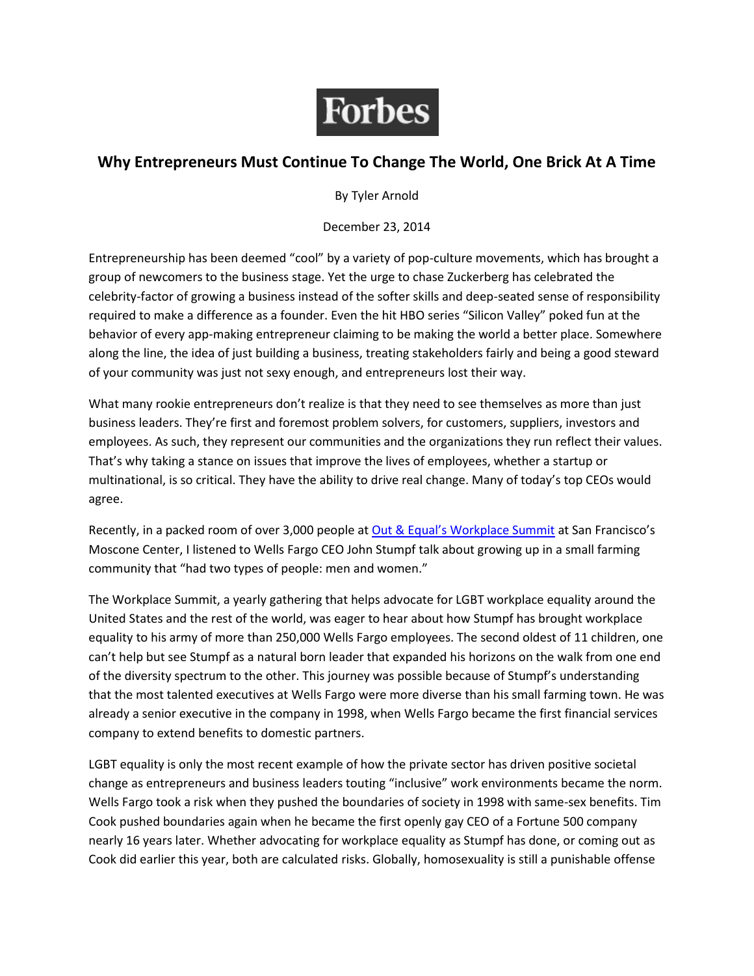

## **Why Entrepreneurs Must Continue To Change The World, One Brick At A Time**

By Tyler Arnold

December 23, 2014

Entrepreneurship has been deemed "cool" by a variety of pop-culture movements, which has brought a group of newcomers to the business stage. Yet the urge to chase Zuckerberg has celebrated the celebrity-factor of growing a business instead of the softer skills and deep-seated sense of responsibility required to make a difference as a founder. Even the hit HBO series "Silicon Valley" poked fun at the behavior of every app-making entrepreneur claiming to be making the world a better place. Somewhere along the line, the idea of just building a business, treating stakeholders fairly and being a good steward of your community was just not sexy enough, and entrepreneurs lost their way.

What many rookie entrepreneurs don't realize is that they need to see themselves as more than just business leaders. They're first and foremost problem solvers, for customers, suppliers, investors and employees. As such, they represent our communities and the organizations they run reflect their values. That's why taking a stance on issues that improve the lives of employees, whether a startup or multinational, is so critical. They have the ability to drive real change. Many of today's top CEOs would agree.

Recently, in a packed room of over 3,000 people at [Out & Equal's Workplace Summit](http://www.outandequal.org/events/summit/) at San Francisco's Moscone Center, I listened to Wells Fargo CEO John Stumpf talk about growing up in a small farming community that "had two types of people: men and women."

The Workplace Summit, a yearly gathering that helps advocate for LGBT workplace equality around the United States and the rest of the world, was eager to hear about how Stumpf has brought workplace equality to his army of more than 250,000 Wells Fargo employees. The second oldest of 11 children, one can't help but see Stumpf as a natural born leader that expanded his horizons on the walk from one end of the diversity spectrum to the other. This journey was possible because of Stumpf's understanding that the most talented executives at Wells Fargo were more diverse than his small farming town. He was already a senior executive in the company in 1998, when Wells Fargo became the first financial services company to extend benefits to domestic partners.

LGBT equality is only the most recent example of how the private sector has driven positive societal change as entrepreneurs and business leaders touting "inclusive" work environments became the norm. Wells Fargo took a risk when they pushed the boundaries of society in 1998 with same-sex benefits. Tim Cook pushed boundaries again when he became the first openly gay CEO of a Fortune 500 company nearly 16 years later. Whether advocating for workplace equality as Stumpf has done, or coming out as Cook did earlier this year, both are calculated risks. Globally, homosexuality is still a punishable offense